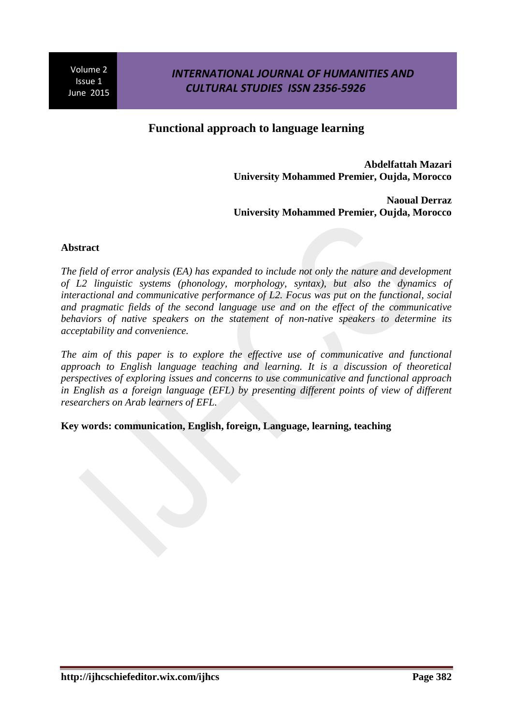### *INTERNATIONAL JOURNAL OF HUMANITIES AND CULTURAL STUDIES ISSN 2356-5926*

### **Functional approach to language learning**

**Abdelfattah Mazari University Mohammed Premier, Oujda, Morocco**

**Naoual Derraz University Mohammed Premier, Oujda, Morocco**

### **Abstract**

*The field of error analysis (EA) has expanded to include not only the nature and development of L2 linguistic systems (phonology, morphology, syntax), but also the dynamics of interactional and communicative performance of L2. Focus was put on the functional, social and pragmatic fields of the second language use and on the effect of the communicative behaviors of native speakers on the statement of non-native speakers to determine its acceptability and convenience.* 

*The aim of this paper is to explore the effective use of communicative and functional approach to English language teaching and learning. It is a discussion of theoretical perspectives of exploring issues and concerns to use communicative and functional approach in English as a foreign language (EFL) by presenting different points of view of different researchers on Arab learners of EFL.* 

### **Key words: communication, English, foreign, Language, learning, teaching**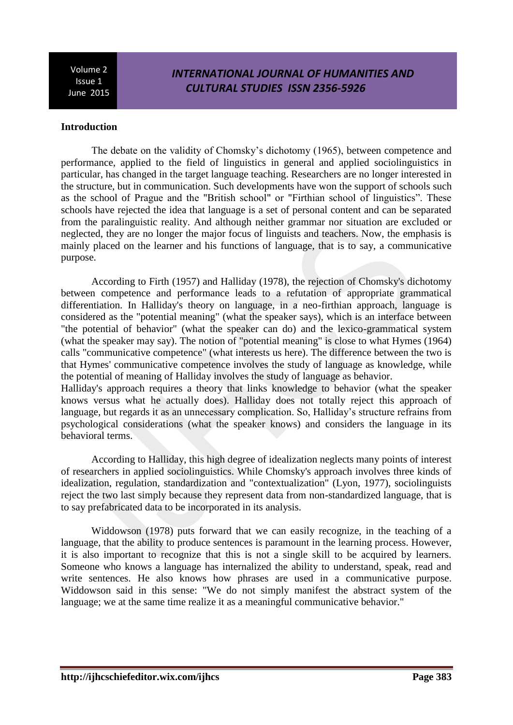# *INTERNATIONAL JOURNAL OF HUMANITIES AND CULTURAL STUDIES ISSN 2356-5926*

#### **Introduction**

The debate on the validity of Chomsky's dichotomy (1965), between competence and performance, applied to the field of linguistics in general and applied sociolinguistics in particular, has changed in the target language teaching. Researchers are no longer interested in the structure, but in communication. Such developments have won the support of schools such as the school of Prague and the "British school" or "Firthian school of linguistics". These schools have rejected the idea that language is a set of personal content and can be separated from the paralinguistic reality. And although neither grammar nor situation are excluded or neglected, they are no longer the major focus of linguists and teachers. Now, the emphasis is mainly placed on the learner and his functions of language, that is to say, a communicative purpose.

According to Firth (1957) and Halliday (1978), the rejection of Chomsky's dichotomy between competence and performance leads to a refutation of appropriate grammatical differentiation. In Halliday's theory on language, in a neo-firthian approach, language is considered as the "potential meaning" (what the speaker says), which is an interface between "the potential of behavior" (what the speaker can do) and the lexico-grammatical system (what the speaker may say). The notion of "potential meaning" is close to what Hymes (1964) calls "communicative competence" (what interests us here). The difference between the two is that Hymes' communicative competence involves the study of language as knowledge, while the potential of meaning of Halliday involves the study of language as behavior. Halliday's approach requires a theory that links knowledge to behavior (what the speaker

knows versus what he actually does). Halliday does not totally reject this approach of language, but regards it as an unnecessary complication. So, Halliday's structure refrains from psychological considerations (what the speaker knows) and considers the language in its behavioral terms.

According to Halliday, this high degree of idealization neglects many points of interest of researchers in applied sociolinguistics. While Chomsky's approach involves three kinds of idealization, regulation, standardization and "contextualization" (Lyon, 1977), sociolinguists reject the two last simply because they represent data from non-standardized language, that is to say prefabricated data to be incorporated in its analysis.

Widdowson (1978) puts forward that we can easily recognize, in the teaching of a language, that the ability to produce sentences is paramount in the learning process. However, it is also important to recognize that this is not a single skill to be acquired by learners. Someone who knows a language has internalized the ability to understand, speak, read and write sentences. He also knows how phrases are used in a communicative purpose. Widdowson said in this sense: "We do not simply manifest the abstract system of the language; we at the same time realize it as a meaningful communicative behavior."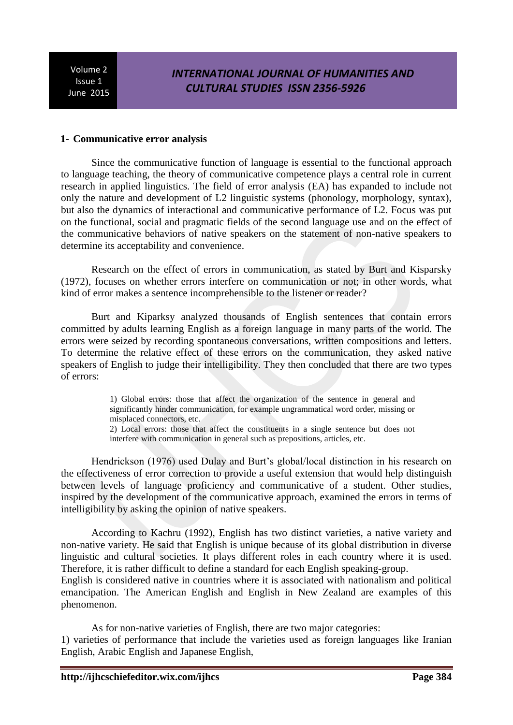## *INTERNATIONAL JOURNAL OF HUMANITIES AND CULTURAL STUDIES ISSN 2356-5926*

#### **1- Communicative error analysis**

Since the communicative function of language is essential to the functional approach to language teaching, the theory of communicative competence plays a central role in current research in applied linguistics. The field of error analysis (EA) has expanded to include not only the nature and development of L2 linguistic systems (phonology, morphology, syntax), but also the dynamics of interactional and communicative performance of L2. Focus was put on the functional, social and pragmatic fields of the second language use and on the effect of the communicative behaviors of native speakers on the statement of non-native speakers to determine its acceptability and convenience.

Research on the effect of errors in communication, as stated by Burt and Kisparsky (1972), focuses on whether errors interfere on communication or not; in other words, what kind of error makes a sentence incomprehensible to the listener or reader?

Burt and Kiparksy analyzed thousands of English sentences that contain errors committed by adults learning English as a foreign language in many parts of the world. The errors were seized by recording spontaneous conversations, written compositions and letters. To determine the relative effect of these errors on the communication, they asked native speakers of English to judge their intelligibility. They then concluded that there are two types of errors:

> 1) Global errors: those that affect the organization of the sentence in general and significantly hinder communication, for example ungrammatical word order, missing or misplaced connectors, etc.

> 2) Local errors: those that affect the constituents in a single sentence but does not interfere with communication in general such as prepositions, articles, etc.

Hendrickson (1976) used Dulay and Burt's global/local distinction in his research on the effectiveness of error correction to provide a useful extension that would help distinguish between levels of language proficiency and communicative of a student. Other studies, inspired by the development of the communicative approach, examined the errors in terms of intelligibility by asking the opinion of native speakers.

According to Kachru (1992), English has two distinct varieties, a native variety and non-native variety. He said that English is unique because of its global distribution in diverse linguistic and cultural societies. It plays different roles in each country where it is used. Therefore, it is rather difficult to define a standard for each English speaking-group.

English is considered native in countries where it is associated with nationalism and political emancipation. The American English and English in New Zealand are examples of this phenomenon.

As for non-native varieties of English, there are two major categories: 1) varieties of performance that include the varieties used as foreign languages like Iranian English, Arabic English and Japanese English,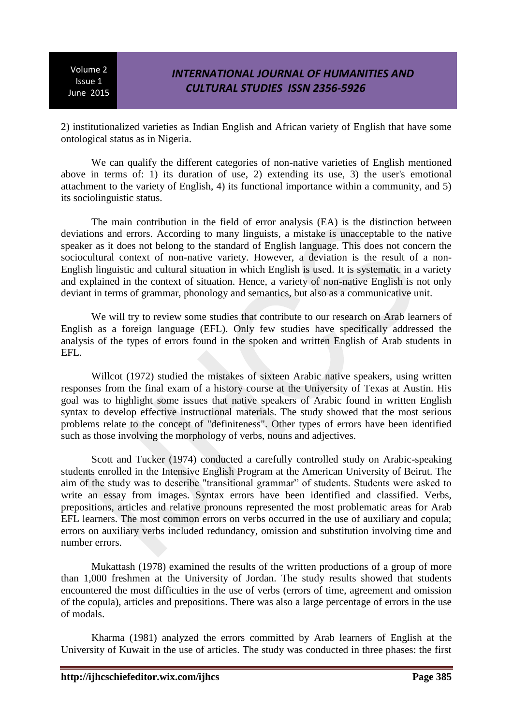2) institutionalized varieties as Indian English and African variety of English that have some ontological status as in Nigeria.

We can qualify the different categories of non-native varieties of English mentioned above in terms of: 1) its duration of use, 2) extending its use, 3) the user's emotional attachment to the variety of English, 4) its functional importance within a community, and 5) its sociolinguistic status.

The main contribution in the field of error analysis (EA) is the distinction between deviations and errors. According to many linguists, a mistake is unacceptable to the native speaker as it does not belong to the standard of English language. This does not concern the sociocultural context of non-native variety. However, a deviation is the result of a non-English linguistic and cultural situation in which English is used. It is systematic in a variety and explained in the context of situation. Hence, a variety of non-native English is not only deviant in terms of grammar, phonology and semantics, but also as a communicative unit.

We will try to review some studies that contribute to our research on Arab learners of English as a foreign language (EFL). Only few studies have specifically addressed the analysis of the types of errors found in the spoken and written English of Arab students in EFL.

Willcot (1972) studied the mistakes of sixteen Arabic native speakers, using written responses from the final exam of a history course at the University of Texas at Austin. His goal was to highlight some issues that native speakers of Arabic found in written English syntax to develop effective instructional materials. The study showed that the most serious problems relate to the concept of "definiteness". Other types of errors have been identified such as those involving the morphology of verbs, nouns and adjectives.

Scott and Tucker (1974) conducted a carefully controlled study on Arabic-speaking students enrolled in the Intensive English Program at the American University of Beirut. The aim of the study was to describe "transitional grammar" of students. Students were asked to write an essay from images. Syntax errors have been identified and classified. Verbs, prepositions, articles and relative pronouns represented the most problematic areas for Arab EFL learners. The most common errors on verbs occurred in the use of auxiliary and copula; errors on auxiliary verbs included redundancy, omission and substitution involving time and number errors.

Mukattash (1978) examined the results of the written productions of a group of more than 1,000 freshmen at the University of Jordan. The study results showed that students encountered the most difficulties in the use of verbs (errors of time, agreement and omission of the copula), articles and prepositions. There was also a large percentage of errors in the use of modals.

Kharma (1981) analyzed the errors committed by Arab learners of English at the University of Kuwait in the use of articles. The study was conducted in three phases: the first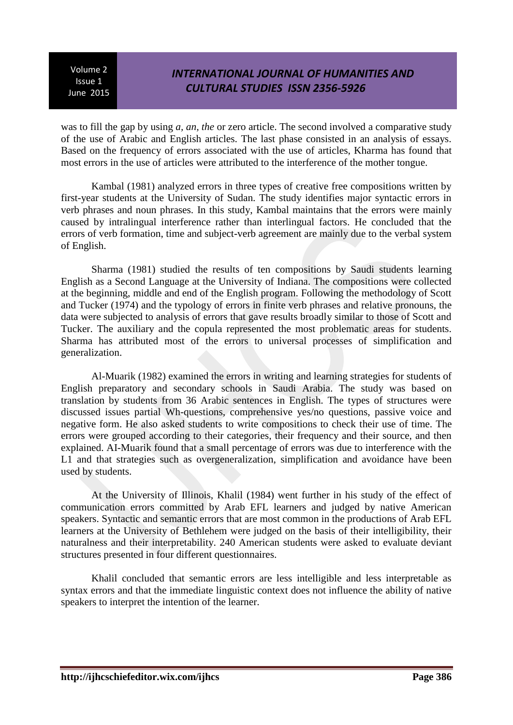# *INTERNATIONAL JOURNAL OF HUMANITIES AND CULTURAL STUDIES ISSN 2356-5926*

was to fill the gap by using *a, an, the* or zero article. The second involved a comparative study of the use of Arabic and English articles. The last phase consisted in an analysis of essays. Based on the frequency of errors associated with the use of articles, Kharma has found that most errors in the use of articles were attributed to the interference of the mother tongue.

Kambal (1981) analyzed errors in three types of creative free compositions written by first-year students at the University of Sudan. The study identifies major syntactic errors in verb phrases and noun phrases. In this study, Kambal maintains that the errors were mainly caused by intralingual interference rather than interlingual factors. He concluded that the errors of verb formation, time and subject-verb agreement are mainly due to the verbal system of English.

Sharma (1981) studied the results of ten compositions by Saudi students learning English as a Second Language at the University of Indiana. The compositions were collected at the beginning, middle and end of the English program. Following the methodology of Scott and Tucker (1974) and the typology of errors in finite verb phrases and relative pronouns, the data were subjected to analysis of errors that gave results broadly similar to those of Scott and Tucker. The auxiliary and the copula represented the most problematic areas for students. Sharma has attributed most of the errors to universal processes of simplification and generalization.

Al-Muarik (1982) examined the errors in writing and learning strategies for students of English preparatory and secondary schools in Saudi Arabia. The study was based on translation by students from 36 Arabic sentences in English. The types of structures were discussed issues partial Wh-questions, comprehensive yes/no questions, passive voice and negative form. He also asked students to write compositions to check their use of time. The errors were grouped according to their categories, their frequency and their source, and then explained. AI-Muarik found that a small percentage of errors was due to interference with the L1 and that strategies such as overgeneralization, simplification and avoidance have been used by students.

At the University of Illinois, Khalil (1984) went further in his study of the effect of communication errors committed by Arab EFL learners and judged by native American speakers. Syntactic and semantic errors that are most common in the productions of Arab EFL learners at the University of Bethlehem were judged on the basis of their intelligibility, their naturalness and their interpretability. 240 American students were asked to evaluate deviant structures presented in four different questionnaires.

Khalil concluded that semantic errors are less intelligible and less interpretable as syntax errors and that the immediate linguistic context does not influence the ability of native speakers to interpret the intention of the learner.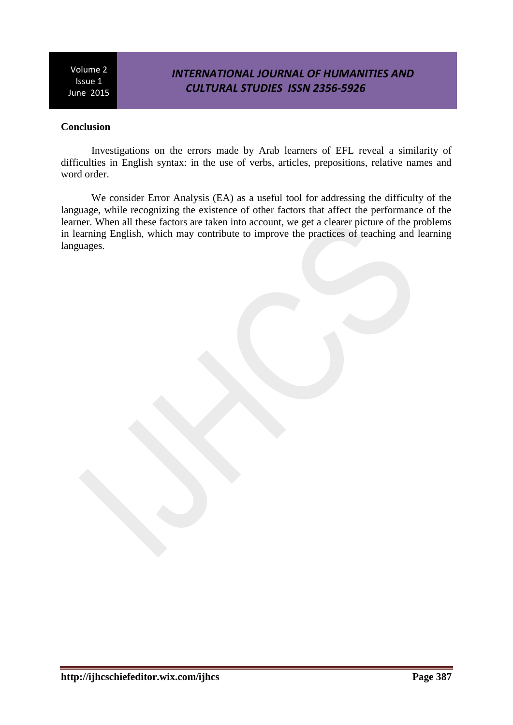# *INTERNATIONAL JOURNAL OF HUMANITIES AND CULTURAL STUDIES ISSN 2356-5926*

### **Conclusion**

Investigations on the errors made by Arab learners of EFL reveal a similarity of difficulties in English syntax: in the use of verbs, articles, prepositions, relative names and word order.

We consider Error Analysis (EA) as a useful tool for addressing the difficulty of the language, while recognizing the existence of other factors that affect the performance of the learner. When all these factors are taken into account, we get a clearer picture of the problems in learning English, which may contribute to improve the practices of teaching and learning languages.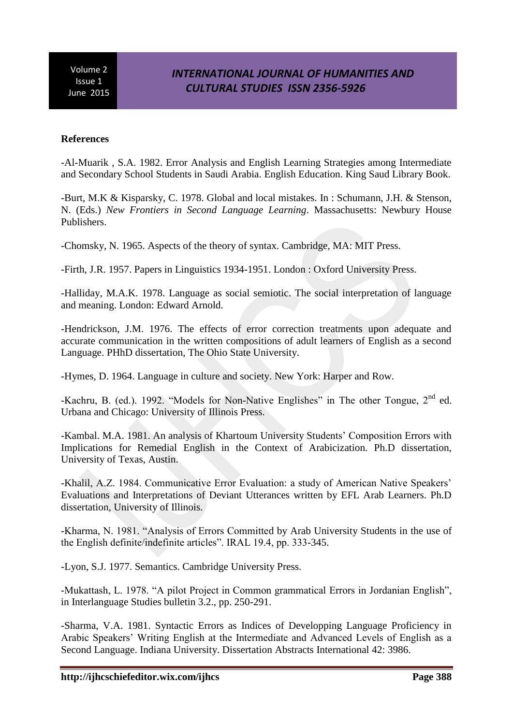#### **References**

-Al-Muarik , S.A. 1982. Error Analysis and English Learning Strategies among Intermediate and Secondary School Students in Saudi Arabia. English Education. King Saud Library Book.

-Burt, M.K & Kisparsky, C. 1978. Global and local mistakes. In : Schumann, J.H. & Stenson, N. (Eds.) *New Frontiers in Second Language Learning*. Massachusetts: Newbury House Publishers.

-Chomsky, N. 1965. Aspects of the theory of syntax. Cambridge, MA: MIT Press.

-Firth, J.R. 1957. Papers in Linguistics 1934-1951. London : Oxford University Press.

-Halliday, M.A.K. 1978. Language as social semiotic. The social interpretation of language and meaning. London: Edward Arnold.

-Hendrickson, J.M. 1976. The effects of error correction treatments upon adequate and accurate communication in the written compositions of adult learners of English as a second Language. PHhD dissertation, The Ohio State University.

-Hymes, D. 1964. Language in culture and society. New York: Harper and Row.

-Kachru, B. (ed.). 1992. "Models for Non-Native Englishes" in The other Tongue, 2<sup>nd</sup> ed. Urbana and Chicago: University of Illinois Press.

-Kambal. M.A. 1981. An analysis of Khartoum University Students' Composition Errors with Implications for Remedial English in the Context of Arabicization. Ph.D dissertation, University of Texas, Austin.

-Khalil, A.Z. 1984. Communicative Error Evaluation: a study of American Native Speakers' Evaluations and Interpretations of Deviant Utterances written by EFL Arab Learners. Ph.D dissertation, University of Illinois.

-Kharma, N. 1981. "Analysis of Errors Committed by Arab University Students in the use of the English definite/indefinite articles". IRAL 19.4, pp. 333-345.

-Lyon, S.J. 1977. Semantics. Cambridge University Press.

-Mukattash, L. 1978. "A pilot Project in Common grammatical Errors in Jordanian English", in Interlanguage Studies bulletin 3.2., pp. 250-291.

-Sharma, V.A. 1981. Syntactic Errors as Indices of Developping Language Proficiency in Arabic Speakers' Writing English at the Intermediate and Advanced Levels of English as a Second Language. Indiana University. Dissertation Abstracts International 42: 3986.